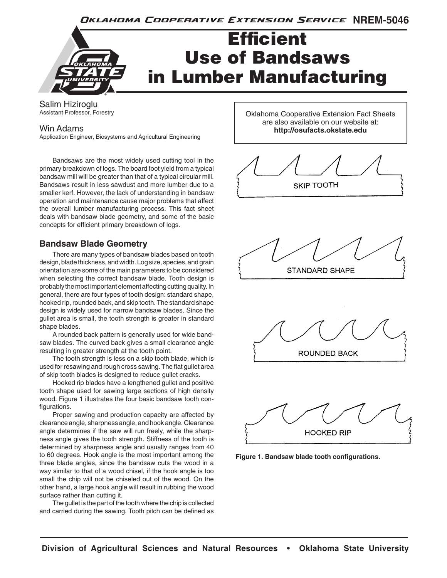Oklahoma Cooperative Extension Service NREM-5046



Salim Hiziroglu Assistant Professor, Forestry

### Win Adams

Application Engineer, Biosystems and Agricultural Engineering

Bandsaws are the most widely used cutting tool in the primary breakdown of logs. The board foot yield from a typical bandsaw mill will be greater than that of a typical circular mill. Bandsaws result in less sawdust and more lumber due to a smaller kerf. However, the lack of understanding in bandsaw operation and maintenance cause major problems that affect the overall lumber manufacturing process. This fact sheet deals with bandsaw blade geometry, and some of the basic concepts for efficient primary breakdown of logs.

## **Bandsaw Blade Geometry**

There are many types of bandsaw blades based on tooth design, blade thickness, and width. Log size, species, and grain orientation are some of the main parameters to be considered when selecting the correct bandsaw blade. Tooth design is probably the most important element affecting cutting quality. In general, there are four types of tooth design: standard shape, hooked rip, rounded back, and skip tooth. The standard shape design is widely used for narrow bandsaw blades. Since the gullet area is small, the tooth strength is greater in standard shape blades.

A rounded back pattern is generally used for wide bandsaw blades. The curved back gives a small clearance angle resulting in greater strength at the tooth point.

The tooth strength is less on a skip tooth blade, which is used for resawing and rough cross sawing. The flat gullet area of skip tooth blades is designed to reduce gullet cracks.

Hooked rip blades have a lengthened gullet and positive tooth shape used for sawing large sections of high density wood. Figure 1 illustrates the four basic bandsaw tooth configurations.

Proper sawing and production capacity are affected by clearance angle, sharpness angle, and hook angle. Clearance angle determines if the saw will run freely, while the sharpness angle gives the tooth strength. Stiffness of the tooth is determined by sharpness angle and usually ranges from 40 to 60 degrees. Hook angle is the most important among the three blade angles, since the bandsaw cuts the wood in a way similar to that of a wood chisel, if the hook angle is too small the chip will not be chiseled out of the wood. On the other hand, a large hook angle will result in rubbing the wood surface rather than cutting it.

The gullet is the part of the tooth where the chip is collected and carried during the sawing. Tooth pitch can be defined as Oklahoma Cooperative Extension Fact Sheets are also available on our website at: **http://osufacts.okstate.edu**



**STANDARD SHAPE** 





**Figure 1. Bandsaw blade tooth configurations.**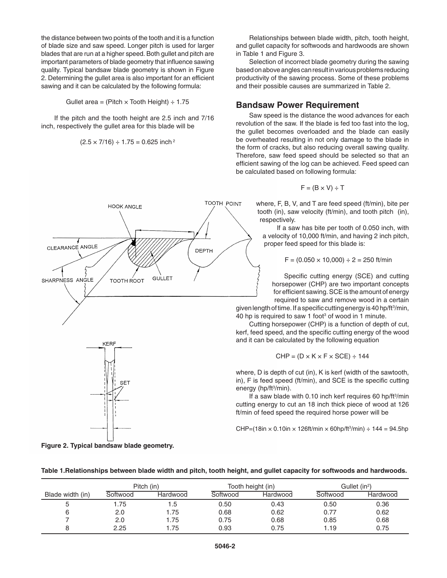the distance between two points of the tooth and it is a function of blade size and saw speed. Longer pitch is used for larger blades that are run at a higher speed. Both gullet and pitch are important parameters of blade geometry that influence sawing quality. Typical bandsaw blade geometry is shown in Figure 2. Determining the gullet area is also important for an efficient sawing and it can be calculated by the following formula:

Gullet area = (Pitch  $\times$  Tooth Height)  $\div$  1.75

If the pitch and the tooth height are 2.5 inch and 7/16 inch, respectively the gullet area for this blade will be

$$
(2.5 \times 7/16) \div 1.75 = 0.625
$$
 inch<sup>2</sup>

**HOOK ANGLE** 

**TOOTH ROOT** 

CLEARANCE ANGLE

SHARPNESS ANGLE

**Figure 2. Typical bandsaw blade geometry.**

KERF

**SET** 

Relationships between blade width, pitch, tooth height, and gullet capacity for softwoods and hardwoods are shown in Table 1 and Figure 3.

Selection of incorrect blade geometry during the sawing based on above angles can result in various problems reducing productivity of the sawing process. Some of these problems and their possible causes are summarized in Table 2.

#### **Bandsaw Power Requirement**

Saw speed is the distance the wood advances for each revolution of the saw. If the blade is fed too fast into the log, the gullet becomes overloaded and the blade can easily be overheated resulting in not only damage to the blade in the form of cracks, but also reducing overall sawing quality. Therefore, saw feed speed should be selected so that an efficient sawing of the log can be achieved. Feed speed can be calculated based on following formula:

$$
F = (B \times V) \div T
$$

where, F, B, V, and T are feed speed (ft/min), bite per tooth (in), saw velocity (ft/min), and tooth pitch (in), respectively.

If a saw has bite per tooth of 0.050 inch, with a velocity of 10,000 ft/min, and having 2 inch pitch, proper feed speed for this blade is:

$$
F = (0.050 \times 10,000) \div 2 = 250
$$
 ft/min

Specific cutting energy (SCE) and cutting horsepower (CHP) are two important concepts for efficient sawing. SCE is the amount of energy required to saw and remove wood in a certain

given length of time. If a specific cutting energy is 40 hp/ft<sup>3</sup>/min, 40 hp is required to saw 1 foot<sup>3</sup> of wood in 1 minute.

Cutting horsepower (CHP) is a function of depth of cut, kerf, feed speed, and the specific cutting energy of the wood and it can be calculated by the following equation

$$
CHP = (D \times K \times F \times SCE) \div 144
$$

where, D is depth of cut (in), K is kerf (width of the sawtooth, in), F is feed speed (ft/min), and SCE is the specific cutting energy (hp/ft<sup>3</sup>/min).

If a saw blade with 0.10 inch kerf requires 60 hp/ft<sup>3</sup>/min cutting energy to cut an 18 inch thick piece of wood at 126 ft/min of feed speed the required horse power will be

CHP=(18in × 0.10in × 126ft/min × 60hp/ft3 /min) ÷ 144 = 94.5hp



| Table 1.Relationships between blade width and pitch, tooth height, and gullet capacity for softwoods and hardwoods. |  |  |  |
|---------------------------------------------------------------------------------------------------------------------|--|--|--|
|---------------------------------------------------------------------------------------------------------------------|--|--|--|

TOOTH POINT

**DEPTH** 

**GULLET** 

6 2.0 1.75 0.68 0.62 0.77 0.62 7 2.0 1.75 0.75 0.68 0.85 0.68 8 2.25 1.75 0.93 0.75 1.19 0.75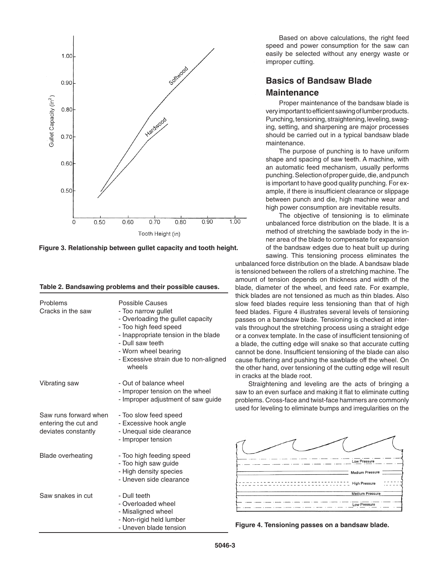

**Figure 3. Relationship between gullet capacity and tooth height.**

| Table 2. Bandsawing problems and their possible causes. |  |  |  |  |  |  |
|---------------------------------------------------------|--|--|--|--|--|--|
|---------------------------------------------------------|--|--|--|--|--|--|

| Problems<br>Cracks in the saw                                        | Possible Causes<br>- Too narrow gullet<br>- Overloading the gullet capacity<br>- Too high feed speed<br>- Inappropriate tension in the blade<br>- Dull saw teeth<br>- Worn wheel bearing<br>- Excessive strain due to non-aligned<br>wheels |
|----------------------------------------------------------------------|---------------------------------------------------------------------------------------------------------------------------------------------------------------------------------------------------------------------------------------------|
| Vibrating saw                                                        | - Out of balance wheel<br>- Improper tension on the wheel<br>- Improper adjustment of saw guide                                                                                                                                             |
| Saw runs forward when<br>entering the cut and<br>deviates constantly | - Too slow feed speed<br>- Excessive hook angle<br>- Unequal side clearance<br>- Improper tension                                                                                                                                           |
| <b>Blade overheating</b>                                             | - Too high feeding speed<br>- Too high saw guide<br>- High density species<br>- Uneven side clearance                                                                                                                                       |
| Saw snakes in cut                                                    | - Dull teeth<br>- Overloaded wheel<br>- Misaligned wheel<br>- Non-rigid held lumber<br>- Uneven blade tension                                                                                                                               |

Based on above calculations, the right feed speed and power consumption for the saw can easily be selected without any energy waste or improper cutting.

# **Basics of Bandsaw Blade Maintenance**

Proper maintenance of the bandsaw blade is very important to efficient sawing of lumber products. Punching, tensioning, straightening, leveling, swaging, setting, and sharpening are major processes should be carried out in a typical bandsaw blade maintenance.

The purpose of punching is to have uniform shape and spacing of saw teeth. A machine, with an automatic feed mechanism, usually performs punching. Selection of proper guide, die, and punch is important to have good quality punching. For example, if there is insufficient clearance or slippage between punch and die, high machine wear and high power consumption are inevitable results.

The objective of tensioning is to eliminate unbalanced force distribution on the blade. It is a method of stretching the sawblade body in the inner area of the blade to compensate for expansion of the bandsaw edges due to heat built up during sawing. This tensioning process eliminates the

unbalanced force distribution on the blade. A bandsaw blade is tensioned between the rollers of a stretching machine. The amount of tension depends on thickness and width of the blade, diameter of the wheel, and feed rate. For example, thick blades are not tensioned as much as thin blades. Also slow feed blades require less tensioning than that of high feed blades. Figure 4 illustrates several levels of tensioning passes on a bandsaw blade. Tensioning is checked at intervals throughout the stretching process using a straight edge or a convex template. In the case of insufficient tensioning of a blade, the cutting edge will snake so that accurate cutting cannot be done. Insufficient tensioning of the blade can also cause fluttering and pushing the sawblade off the wheel. On the other hand, over tensioning of the cutting edge will result in cracks at the blade root.

Straightening and leveling are the acts of bringing a saw to an even surface and making it flat to eliminate cutting problems. Cross-face and twist-face hammers are commonly used for leveling to eliminate bumps and irregularities on the



**Figure 4. Tensioning passes on a bandsaw blade.**